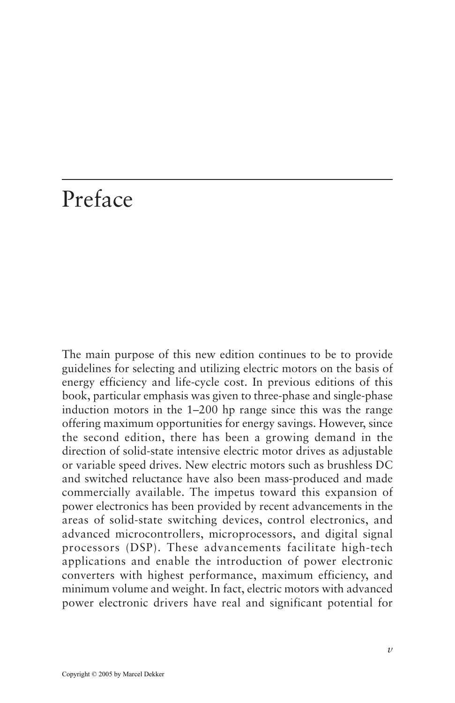## Preface

The main purpose of this new edition continues to be to provide guidelines for selecting and utilizing electric motors on the basis of energy efficiency and life-cycle cost. In previous editions of this book, particular emphasis was given to three-phase and single-phase induction motors in the 1–200 hp range since this was the range offering maximum opportunities for energy savings. However, since the second edition, there has been a growing demand in the direction of solid-state intensive electric motor drives as adjustable or variable speed drives. New electric motors such as brushless DC and switched reluctance have also been mass-produced and made commercially available. The impetus toward this expansion of power electronics has been provided by recent advancements in the areas of solid-state switching devices, control electronics, and advanced microcontrollers, microprocessors, and digital signal processors (DSP). These advancements facilitate high-tech applications and enable the introduction of power electronic converters with highest performance, maximum efficiency, and minimum volume and weight. In fact, electric motors with advanced power electronic drivers have real and significant potential for